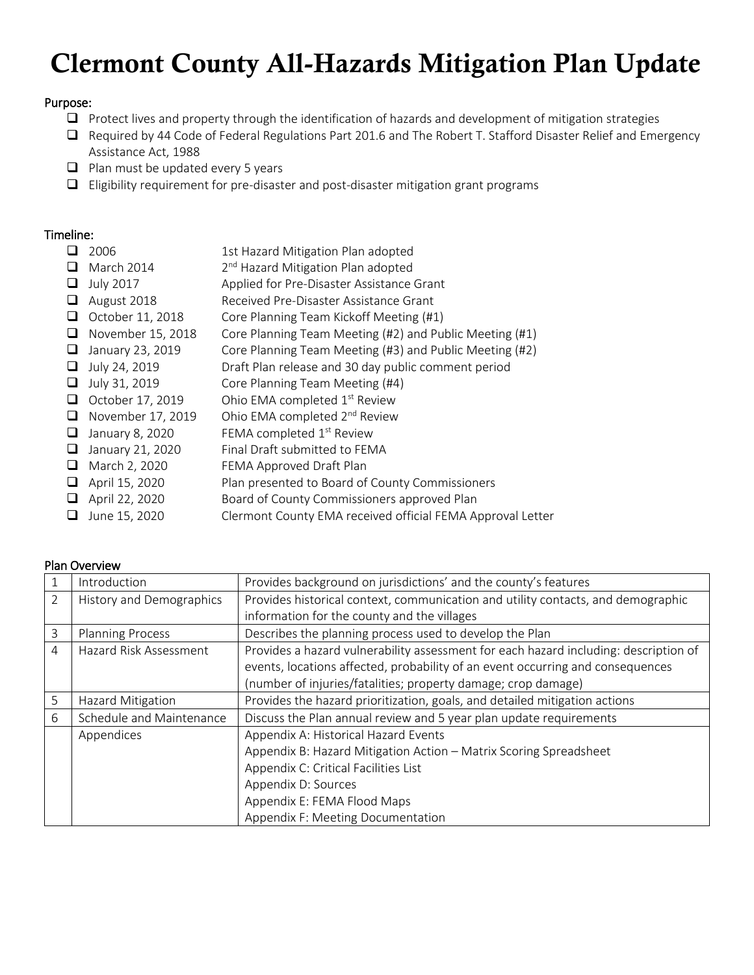# Clermont County All-Hazards Mitigation Plan Update

# Purpose:

- $\Box$  Protect lives and property through the identification of hazards and development of mitigation strategies
- Required by 44 Code of Federal Regulations Part 201.6 and The Robert T. Stafford Disaster Relief and Emergency Assistance Act, 1988
- $\Box$  Plan must be updated every 5 years
- $\Box$  Eligibility requirement for pre-disaster and post-disaster mitigation grant programs

# Timeline:

|   | 2006              | 1st Hazard Mitigation Plan adopted                         |
|---|-------------------|------------------------------------------------------------|
| ப | March 2014        | 2 <sup>nd</sup> Hazard Mitigation Plan adopted             |
| ⊔ | <b>July 2017</b>  | Applied for Pre-Disaster Assistance Grant                  |
| ⊔ | August 2018       | Received Pre-Disaster Assistance Grant                     |
| ப | October 11, 2018  | Core Planning Team Kickoff Meeting (#1)                    |
| ⊔ | November 15, 2018 | Core Planning Team Meeting (#2) and Public Meeting (#1)    |
| ⊔ | January 23, 2019  | Core Planning Team Meeting (#3) and Public Meeting (#2)    |
| ⊔ | July 24, 2019     | Draft Plan release and 30 day public comment period        |
| u | July 31, 2019     | Core Planning Team Meeting (#4)                            |
| ⊔ | October 17, 2019  | Ohio EMA completed 1 <sup>st</sup> Review                  |
| ப | November 17, 2019 | Ohio EMA completed 2 <sup>nd</sup> Review                  |
| ⊔ | January 8, 2020   | FEMA completed 1 <sup>st</sup> Review                      |
| ⊔ | January 21, 2020  | Final Draft submitted to FEMA                              |
| ⊔ | March 2, 2020     | FEMA Approved Draft Plan                                   |
| ⊔ | April 15, 2020    | Plan presented to Board of County Commissioners            |
|   | April 22, 2020    | Board of County Commissioners approved Plan                |
|   | June 15, 2020     | Clermont County EMA received official FEMA Approval Letter |

|  | <b>Plan Overview</b> |
|--|----------------------|
|  |                      |

|   | Introduction             | Provides background on jurisdictions' and the county's features                      |
|---|--------------------------|--------------------------------------------------------------------------------------|
| C | History and Demographics | Provides historical context, communication and utility contacts, and demographic     |
|   |                          | information for the county and the villages                                          |
| 3 | <b>Planning Process</b>  | Describes the planning process used to develop the Plan                              |
| 4 | Hazard Risk Assessment   | Provides a hazard vulnerability assessment for each hazard including: description of |
|   |                          | events, locations affected, probability of an event occurring and consequences       |
|   |                          | (number of injuries/fatalities; property damage; crop damage)                        |
| 5 | Hazard Mitigation        | Provides the hazard prioritization, goals, and detailed mitigation actions           |
| 6 | Schedule and Maintenance | Discuss the Plan annual review and 5 year plan update requirements                   |
|   | Appendices               | Appendix A: Historical Hazard Events                                                 |
|   |                          | Appendix B: Hazard Mitigation Action - Matrix Scoring Spreadsheet                    |
|   |                          | Appendix C: Critical Facilities List                                                 |
|   |                          | Appendix D: Sources                                                                  |
|   |                          | Appendix E: FEMA Flood Maps                                                          |
|   |                          | Appendix F: Meeting Documentation                                                    |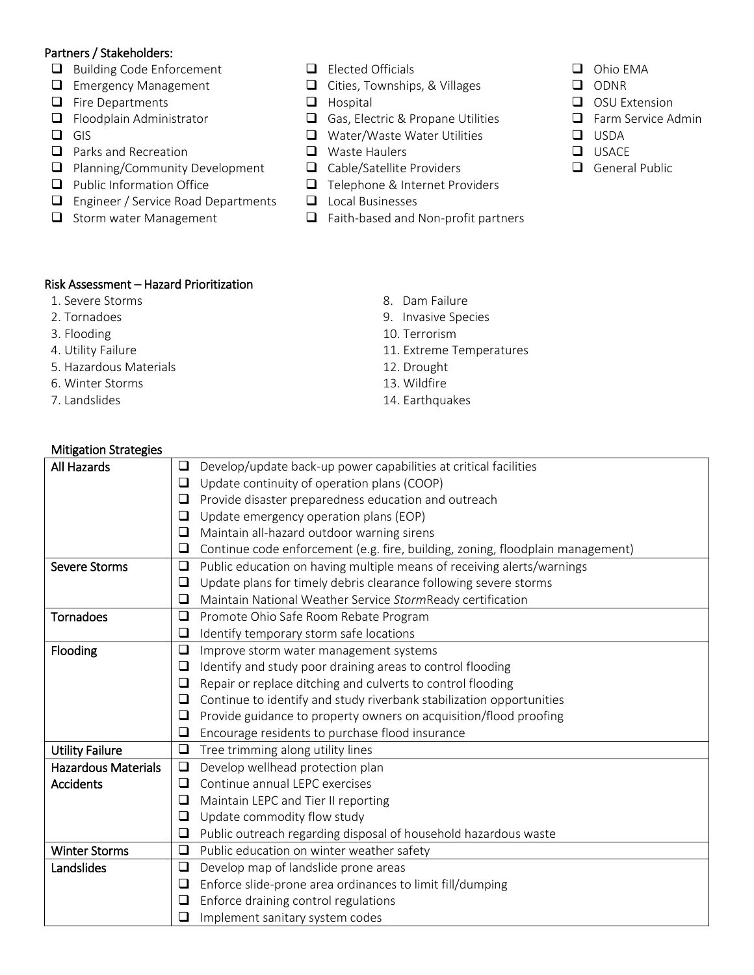## Partners / Stakeholders:

- Building Code Enforcement
- **Emergency Management**
- $\Box$  Fire Departments
- $\Box$  Floodplain Administrator
- $\Box$  GIS
- **Q** Parks and Recreation
- **Planning/Community Development**
- $\Box$  Public Information Office
- **Engineer / Service Road Departments**
- $\Box$  Storm water Management
- $\Box$  Elected Officials
- Cities, Townships, & Villages
- $\Box$  Hospital
- Gas, Electric & Propane Utilities
- Water/Waste Water Utilities
- **Q** Waste Haulers
- Cable/Satellite Providers
- Telephone & Internet Providers
- **L** Local Businesses
- $\Box$  Faith-based and Non-profit partners
- Ohio EMA
- Q ODNR
- OSU Extension
- **Example Farm Service Admin**
- **Q** USDA
- $\Box$  USACE
- General Public

- Risk Assessment Hazard Prioritization
- 1. Severe Storms and the second state of the Severe Storms and the Severe Storms and Severe Storms and Severe S
- 
- 
- 
- 5. Hazardous Materials 12. Drought
- 6. Winter Storms 13. Wildfire
- 
- 
- 2. Tornadoes 9. Invasive Species
- 3. Flooding 20. Terrorism
- 4. Utility Failure 11. Extreme Temperatures
	-
	-
- 7. Landslides 14. Earthquakes

| <b>Mitigation Strategies</b> |  |
|------------------------------|--|
| $\overline{1}$ All Hannada   |  |

| <b>All Hazards</b>         | Develop/update back-up power capabilities at critical facilities                    |
|----------------------------|-------------------------------------------------------------------------------------|
|                            | Update continuity of operation plans (COOP)<br>❏                                    |
|                            | Provide disaster preparedness education and outreach<br>❏                           |
|                            | Update emergency operation plans (EOP)<br>❏                                         |
|                            | Maintain all-hazard outdoor warning sirens<br>❏                                     |
|                            | Continue code enforcement (e.g. fire, building, zoning, floodplain management)<br>❏ |
| <b>Severe Storms</b>       | Public education on having multiple means of receiving alerts/warnings<br>❏         |
|                            | Update plans for timely debris clearance following severe storms<br>❏               |
|                            | Maintain National Weather Service StormReady certification<br>❏                     |
| <b>Tornadoes</b>           | $\Box$<br>Promote Ohio Safe Room Rebate Program                                     |
|                            | Identify temporary storm safe locations<br>❏                                        |
| Flooding                   | ❏<br>Improve storm water management systems                                         |
|                            | Identify and study poor draining areas to control flooding<br>❏                     |
|                            | Repair or replace ditching and culverts to control flooding<br>❏                    |
|                            | Continue to identify and study riverbank stabilization opportunities<br>❏           |
|                            | Provide guidance to property owners on acquisition/flood proofing                   |
|                            | Encourage residents to purchase flood insurance<br>⊔                                |
| <b>Utility Failure</b>     | ❏<br>Tree trimming along utility lines                                              |
| <b>Hazardous Materials</b> | Develop wellhead protection plan<br>❏                                               |
| <b>Accidents</b>           | Continue annual LEPC exercises<br>◻                                                 |
|                            | Maintain LEPC and Tier II reporting<br>❏                                            |
|                            | Update commodity flow study<br>❏                                                    |
|                            | Public outreach regarding disposal of household hazardous waste<br>❏                |
| <b>Winter Storms</b>       | Public education on winter weather safety<br>❏                                      |
| Landslides                 | Develop map of landslide prone areas<br>❏                                           |
|                            | Enforce slide-prone area ordinances to limit fill/dumping<br>❏                      |
|                            | Enforce draining control regulations                                                |
|                            | ❏<br>Implement sanitary system codes                                                |